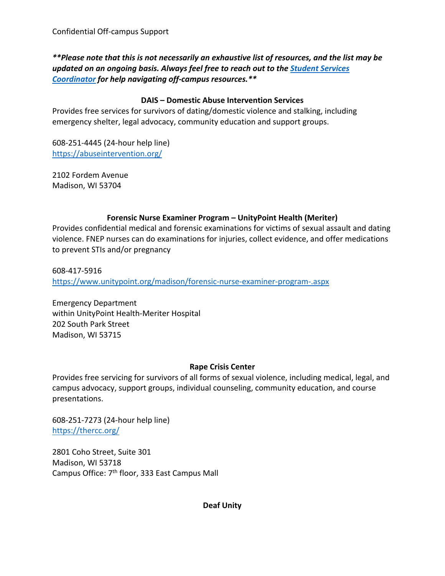*\*\*Please note that this is not necessarily an exhaustive list of resources, and the list may be updated on an ongoing basis. Always feel free to reach out to the [Student Services](https://hub.russell.wisc.edu/hub-staff-alphabetical-list/)  [Coordinator](https://hub.russell.wisc.edu/hub-staff-alphabetical-list/) for help navigating off-campus resources.\*\**

# **DAIS – Domestic Abuse Intervention Services**

Provides free services for survivors of dating/domestic violence and stalking, including emergency shelter, legal advocacy, community education and support groups.

608-251-4445 (24-hour help line) <https://abuseintervention.org/>

2102 Fordem Avenue Madison, WI 53704

# **Forensic Nurse Examiner Program – UnityPoint Health (Meriter)**

Provides confidential medical and forensic examinations for victims of sexual assault and dating violence. FNEP nurses can do examinations for injuries, collect evidence, and offer medications to prevent STIs and/or pregnancy

608-417-5916 <https://www.unitypoint.org/madison/forensic-nurse-examiner-program-.aspx>

Emergency Department within UnityPoint Health-Meriter Hospital 202 South Park Street Madison, WI 53715

## **Rape Crisis Center**

Provides free servicing for survivors of all forms of sexual violence, including medical, legal, and campus advocacy, support groups, individual counseling, community education, and course presentations.

608-251-7273 (24-hour help line) <https://thercc.org/>

2801 Coho Street, Suite 301 Madison, WI 53718 Campus Office: 7<sup>th</sup> floor, 333 East Campus Mall

**Deaf Unity**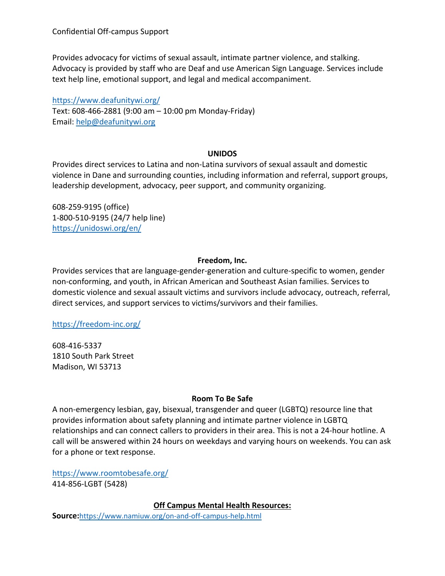Confidential Off-campus Support

Provides advocacy for victims of sexual assault, intimate partner violence, and stalking. Advocacy is provided by staff who are Deaf and use American Sign Language. Services include text help line, emotional support, and legal and medical accompaniment.

<https://www.deafunitywi.org/> Text: 608-466-2881 (9:00 am – 10:00 pm Monday-Friday) Email: [help@deafunitywi.org](mailto:help@deafunitywi.org)

#### **UNIDOS**

Provides direct services to Latina and non-Latina survivors of sexual assault and domestic violence in Dane and surrounding counties, including information and referral, support groups, leadership development, advocacy, peer support, and community organizing.

608-259-9195 (office) 1-800-510-9195 (24/7 help line) <https://unidoswi.org/en/>

#### **Freedom, Inc.**

Provides services that are language-gender-generation and culture-specific to women, gender non-conforming, and youth, in African American and Southeast Asian families. Services to domestic violence and sexual assault victims and survivors include advocacy, outreach, referral, direct services, and support services to victims/survivors and their families.

<https://freedom-inc.org/>

608-416-5337 1810 South Park Street Madison, WI 53713

#### **Room To Be Safe**

A non-emergency lesbian, gay, bisexual, transgender and queer (LGBTQ) resource line that provides information about safety planning and intimate partner violence in LGBTQ relationships and can connect callers to providers in their area. This is not a 24-hour hotline. A call will be answered within 24 hours on weekdays and varying hours on weekends. You can ask for a phone or text response.

<https://www.roomtobesafe.org/> 414-856-LGBT (5428)

**Off Campus Mental Health Resources:**

**Source:**<https://www.namiuw.org/on-and-off-campus-help.html>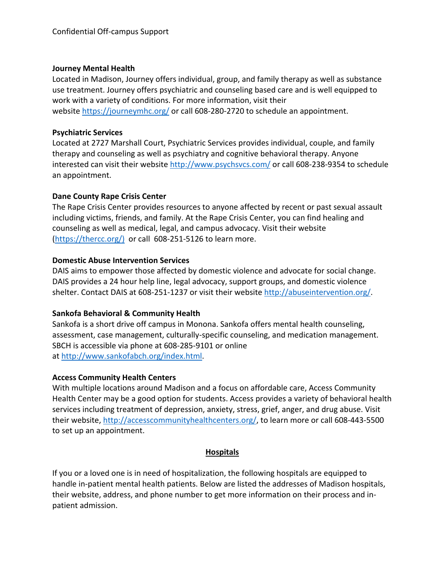#### **Journey Mental Health**

Located in Madison, Journey offers individual, group, and family therapy as well as substance use treatment. Journey offers psychiatric and counseling based care and is well equipped to work with a variety of conditions. For more information, visit their website <https://journeymhc.org/> or call 608-280-2720 to schedule an appointment.

#### **Psychiatric Services**

Located at 2727 Marshall Court, Psychiatric Services provides individual, couple, and family therapy and counseling as well as psychiatry and cognitive behavioral therapy. Anyone interested can visit their website <http://www.psychsvcs.com/> or call 608-238-9354 to schedule an appointment.

## **Dane County Rape Crisis Center**

The Rape Crisis Center provides resources to anyone affected by recent or past sexual assault including victims, friends, and family. At the Rape Crisis Center, you can find healing and counseling as well as medical, legal, and campus advocacy. Visit their website [\(https://thercc.org/\)](https://thercc.org/)) or call 608-251-5126 to learn more.

## **Domestic Abuse Intervention Services**

DAIS aims to empower those affected by domestic violence and advocate for social change. DAIS provides a 24 hour help line, legal advocacy, support groups, and domestic violence shelter. Contact DAIS at 608-251-1237 or visit their website [http://abuseintervention.org/.](http://abuseintervention.org/)

## **Sankofa Behavioral & Community Health**

Sankofa is a short drive off campus in Monona. Sankofa offers mental health counseling, assessment, case management, culturally-specific counseling, and medication management. SBCH is accessible via phone at 608-285-9101 or online at [http://www.sankofabch.org/index.html.](http://www.sankofabch.org/index.html)

## **Access Community Health Centers**

With multiple locations around Madison and a focus on affordable care, Access Community Health Center may be a good option for students. Access provides a variety of behavioral health services including treatment of depression, anxiety, stress, grief, anger, and drug abuse. Visit their website, [http://accesscommunityhealthcenters.org/,](http://accesscommunityhealthcenters.org/) to learn more or call 608-443-5500 to set up an appointment.

## **Hospitals**

If you or a loved one is in need of hospitalization, the following hospitals are equipped to handle in-patient mental health patients. Below are listed the addresses of Madison hospitals, their website, address, and phone number to get more information on their process and inpatient admission.